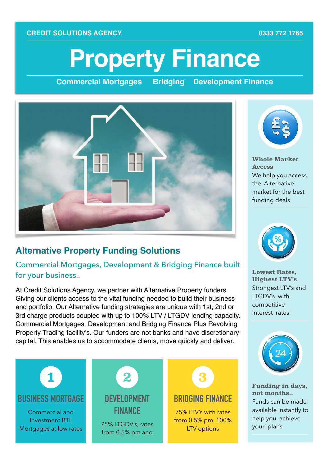#### **CREDIT SOLUTIONS AGENCY CREDIT SOLUTIONS AGENCY**

# **Property Finance**

**Commercial Mortgages Bridging Development Finance**



#### **Alternative Property Funding Solutions**

Commercial Mortgages, Development & Bridging Finance built for your business..

At Credit Solutions Agency, we partner with Alternative Property funders. Giving our clients access to the vital funding needed to build their business and portfolio. Our Alternative funding strategies are unique with 1st, 2nd or 3rd charge products coupled with up to 100% LTV / LTGDV lending capacity. Commercial Mortgages, Development and Bridging Finance Plus Revolving Property Trading facility's. Our funders are not banks and have discretionary capital. This enables us to accommodate clients, move quickly and deliver.





**Whole Market Access**  We help you access the Alternative market for the best funding deals



**Lowest Rates, Highest LTV's**  Strongest LTV's and LTGDV's with competitive interest rates



**Funding in days, not months..**  Funds can be made available instantly to help you achieve your plans